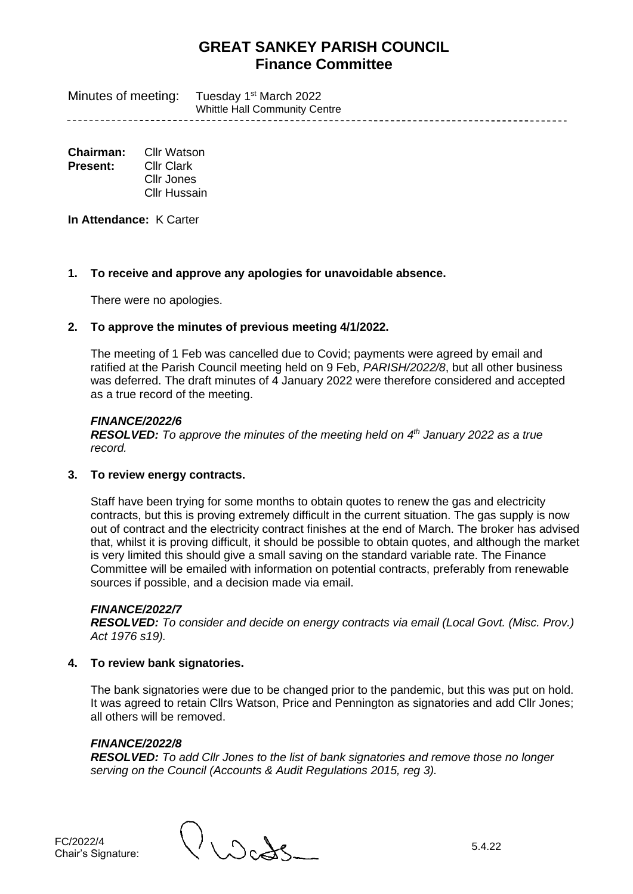Minutes of meeting: Tuesday 1<sup>st</sup> March 2022 Whittle Hall Community Centre

**Chairman:** Cllr Watson **Present:** Cllr Clark Cllr Jones Cllr Hussain

**In Attendance:** K Carter

## **1. To receive and approve any apologies for unavoidable absence.**

There were no apologies.

## **2. To approve the minutes of previous meeting 4/1/2022.**

The meeting of 1 Feb was cancelled due to Covid; payments were agreed by email and ratified at the Parish Council meeting held on 9 Feb, *PARISH/2022/8*, but all other business was deferred. The draft minutes of 4 January 2022 were therefore considered and accepted as a true record of the meeting.

## *FINANCE/2022/6*

*RESOLVED: To approve the minutes of the meeting held on 4 th January 2022 as a true record.*

## **3. To review energy contracts.**

Staff have been trying for some months to obtain quotes to renew the gas and electricity contracts, but this is proving extremely difficult in the current situation. The gas supply is now out of contract and the electricity contract finishes at the end of March. The broker has advised that, whilst it is proving difficult, it should be possible to obtain quotes, and although the market is very limited this should give a small saving on the standard variable rate. The Finance Committee will be emailed with information on potential contracts, preferably from renewable sources if possible, and a decision made via email.

## *FINANCE/2022/7*

*RESOLVED: To consider and decide on energy contracts via email (Local Govt. (Misc. Prov.) Act 1976 s19).*

## **4. To review bank signatories.**

The bank signatories were due to be changed prior to the pandemic, but this was put on hold. It was agreed to retain Cllrs Watson, Price and Pennington as signatories and add Cllr Jones; all others will be removed.

## *FINANCE/2022/8*

*RESOLVED: To add Cllr Jones to the list of bank signatories and remove those no longer serving on the Council (Accounts & Audit Regulations 2015, reg 3).*

FC/2022/4<br>Chair's Signature:

 $\int$  Signature: 5.4.22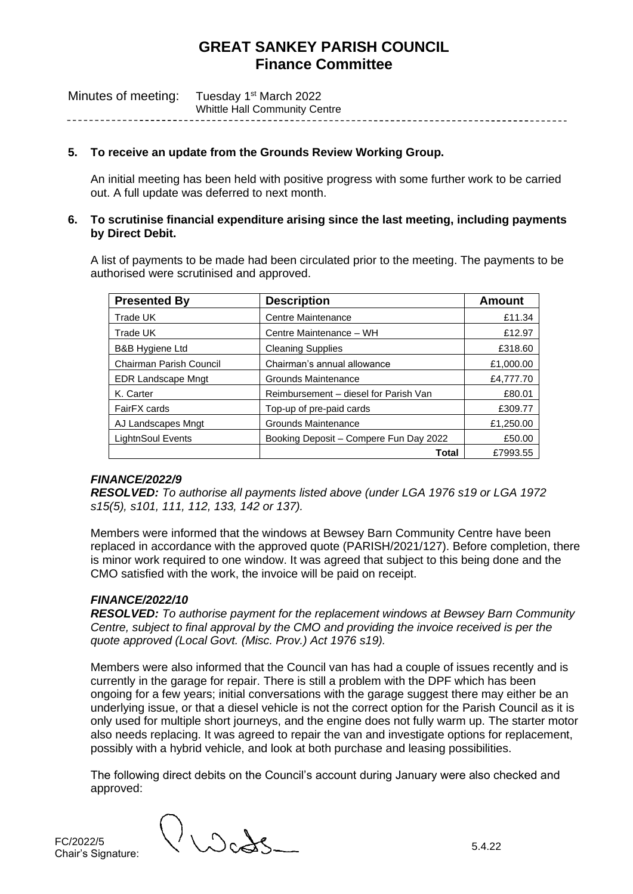| Minutes of meeting: | Tuesday 1 <sup>st</sup> March 2022   |
|---------------------|--------------------------------------|
|                     | <b>Whittle Hall Community Centre</b> |

#### **5. To receive an update from the Grounds Review Working Group.**

An initial meeting has been held with positive progress with some further work to be carried out. A full update was deferred to next month.

#### **6. To scrutinise financial expenditure arising since the last meeting, including payments by Direct Debit.**

A list of payments to be made had been circulated prior to the meeting. The payments to be authorised were scrutinised and approved.

| <b>Presented By</b>       | <b>Description</b>                     | Amount    |
|---------------------------|----------------------------------------|-----------|
| Trade UK                  | Centre Maintenance                     | £11.34    |
| Trade UK                  | Centre Maintenance - WH                | £12.97    |
| B&B Hygiene Ltd           | <b>Cleaning Supplies</b>               | £318.60   |
| Chairman Parish Council   | Chairman's annual allowance            | £1,000.00 |
| <b>EDR Landscape Mngt</b> | Grounds Maintenance                    | £4,777.70 |
| K. Carter                 | Reimbursement – diesel for Parish Van  | £80.01    |
| FairFX cards              | Top-up of pre-paid cards               | £309.77   |
| AJ Landscapes Mngt        | Grounds Maintenance                    | £1,250.00 |
| <b>LightnSoul Events</b>  | Booking Deposit - Compere Fun Day 2022 | £50.00    |
|                           | Total                                  | £7993.55  |

#### *FINANCE/2022/9*

*RESOLVED: To authorise all payments listed above (under LGA 1976 s19 or LGA 1972 s15(5), s101, 111, 112, 133, 142 or 137).*

Members were informed that the windows at Bewsey Barn Community Centre have been replaced in accordance with the approved quote (PARISH/2021/127). Before completion, there is minor work required to one window. It was agreed that subject to this being done and the CMO satisfied with the work, the invoice will be paid on receipt.

## *FINANCE/2022/10*

*RESOLVED: To authorise payment for the replacement windows at Bewsey Barn Community Centre, subject to final approval by the CMO and providing the invoice received is per the quote approved (Local Govt. (Misc. Prov.) Act 1976 s19).*

Members were also informed that the Council van has had a couple of issues recently and is currently in the garage for repair. There is still a problem with the DPF which has been ongoing for a few years; initial conversations with the garage suggest there may either be an underlying issue, or that a diesel vehicle is not the correct option for the Parish Council as it is only used for multiple short journeys, and the engine does not fully warm up. The starter motor also needs replacing. It was agreed to repair the van and investigate options for replacement, possibly with a hybrid vehicle, and look at both purchase and leasing possibilities.

The following direct debits on the Council's account during January were also checked and approved:

FC/2022/5<br>Chair's Signature:

 $\bigcup_{\mathcal{C}} \bigotimes_{S_{\text{max}}}$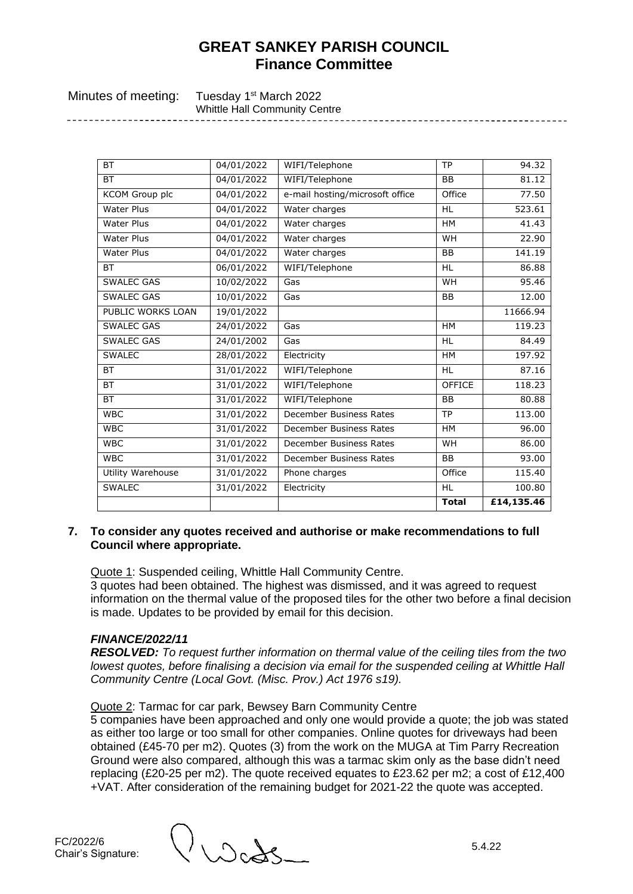--------------------------------

| Minutes of meeting: | Tuesday 1 <sup>st</sup> March 2022   |
|---------------------|--------------------------------------|
|                     | <b>Whittle Hall Community Centre</b> |
|                     |                                      |

| <b>BT</b>         | 04/01/2022 | WIFI/Telephone                  | <b>TP</b>     | 94.32      |
|-------------------|------------|---------------------------------|---------------|------------|
| <b>BT</b>         | 04/01/2022 | WIFI/Telephone                  | <b>BB</b>     | 81.12      |
| KCOM Group plc    | 04/01/2022 | e-mail hosting/microsoft office | Office        | 77.50      |
| <b>Water Plus</b> | 04/01/2022 | Water charges                   | <b>HL</b>     | 523.61     |
| <b>Water Plus</b> | 04/01/2022 | Water charges                   | <b>HM</b>     | 41.43      |
| <b>Water Plus</b> | 04/01/2022 | Water charges                   | <b>WH</b>     | 22.90      |
| <b>Water Plus</b> | 04/01/2022 | Water charges                   | <b>BB</b>     | 141.19     |
| <b>BT</b>         | 06/01/2022 | WIFI/Telephone                  | <b>HL</b>     | 86.88      |
| SWALEC GAS        | 10/02/2022 | Gas                             | <b>WH</b>     | 95.46      |
| <b>SWALEC GAS</b> | 10/01/2022 | Gas                             | <b>BB</b>     | 12.00      |
| PUBLIC WORKS LOAN | 19/01/2022 |                                 |               | 11666.94   |
| <b>SWALEC GAS</b> | 24/01/2022 | Gas                             | <b>HM</b>     | 119.23     |
| <b>SWALEC GAS</b> | 24/01/2002 | Gas                             | <b>HL</b>     | 84.49      |
| <b>SWALEC</b>     | 28/01/2022 | Electricity                     | <b>HM</b>     | 197.92     |
| <b>BT</b>         | 31/01/2022 | WIFI/Telephone                  | <b>HL</b>     | 87.16      |
| <b>BT</b>         | 31/01/2022 | WIFI/Telephone                  | <b>OFFICE</b> | 118.23     |
| <b>BT</b>         | 31/01/2022 | WIFI/Telephone                  | <b>BB</b>     | 80.88      |
| <b>WBC</b>        | 31/01/2022 | December Business Rates         | <b>TP</b>     | 113.00     |
| <b>WBC</b>        | 31/01/2022 | December Business Rates         | <b>HM</b>     | 96.00      |
| <b>WBC</b>        | 31/01/2022 | December Business Rates         | <b>WH</b>     | 86.00      |
| <b>WBC</b>        | 31/01/2022 | December Business Rates         | <b>BB</b>     | 93.00      |
| Utility Warehouse | 31/01/2022 | Phone charges                   | Office        | 115.40     |
| <b>SWALEC</b>     | 31/01/2022 | Electricity                     | <b>HL</b>     | 100.80     |
|                   |            |                                 | <b>Total</b>  | £14,135.46 |

## **7. To consider any quotes received and authorise or make recommendations to full Council where appropriate.**

Quote 1: Suspended ceiling, Whittle Hall Community Centre.

3 quotes had been obtained. The highest was dismissed, and it was agreed to request information on the thermal value of the proposed tiles for the other two before a final decision is made. Updates to be provided by email for this decision.

## *FINANCE/2022/11*

*RESOLVED: To request further information on thermal value of the ceiling tiles from the two lowest quotes, before finalising a decision via email for the suspended ceiling at Whittle Hall Community Centre (Local Govt. (Misc. Prov.) Act 1976 s19).*

#### Quote 2: Tarmac for car park, Bewsey Barn Community Centre

5 companies have been approached and only one would provide a quote; the job was stated as either too large or too small for other companies. Online quotes for driveways had been obtained (£45-70 per m2). Quotes (3) from the work on the MUGA at Tim Parry Recreation Ground were also compared, although this was a tarmac skim only as the base didn't need replacing (£20-25 per m2). The quote received equates to £23.62 per m2; a cost of £12,400 +VAT. After consideration of the remaining budget for 2021-22 the quote was accepted.

 $\bigcup_{n=1}^{\infty}$  Signature: 5.4.22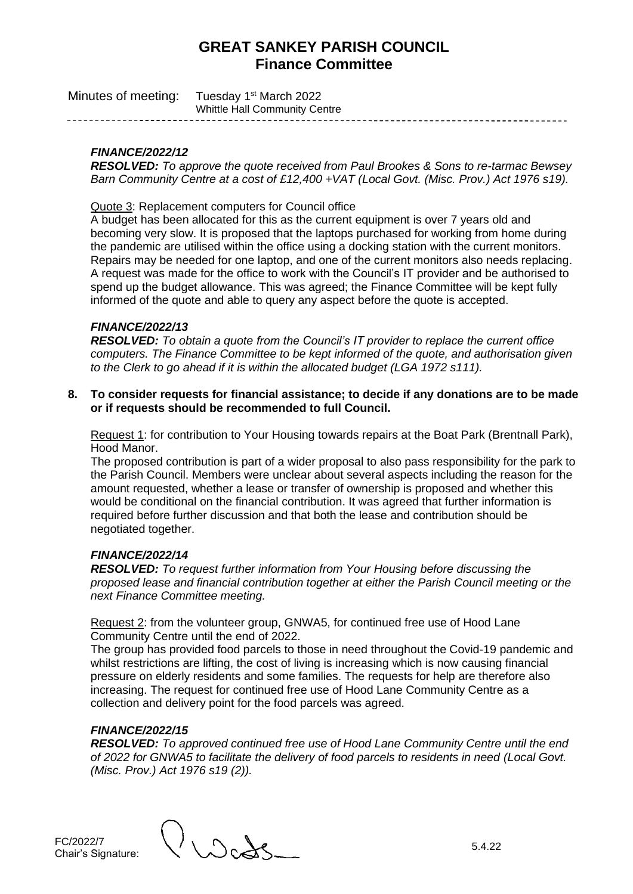| Minutes of meeting: | Tuesday 1 <sup>st</sup> March 2022   |
|---------------------|--------------------------------------|
|                     | <b>Whittle Hall Community Centre</b> |

## *FINANCE/2022/12*

*RESOLVED: To approve the quote received from Paul Brookes & Sons to re-tarmac Bewsey Barn Community Centre at a cost of £12,400 +VAT (Local Govt. (Misc. Prov.) Act 1976 s19).*

Quote 3: Replacement computers for Council office

A budget has been allocated for this as the current equipment is over 7 years old and becoming very slow. It is proposed that the laptops purchased for working from home during the pandemic are utilised within the office using a docking station with the current monitors. Repairs may be needed for one laptop, and one of the current monitors also needs replacing. A request was made for the office to work with the Council's IT provider and be authorised to spend up the budget allowance. This was agreed; the Finance Committee will be kept fully informed of the quote and able to query any aspect before the quote is accepted.

#### *FINANCE/2022/13*

*RESOLVED: To obtain a quote from the Council's IT provider to replace the current office computers. The Finance Committee to be kept informed of the quote, and authorisation given to the Clerk to go ahead if it is within the allocated budget (LGA 1972 s111).*

**8. To consider requests for financial assistance; to decide if any donations are to be made or if requests should be recommended to full Council.**

Request 1: for contribution to Your Housing towards repairs at the Boat Park (Brentnall Park), Hood Manor.

The proposed contribution is part of a wider proposal to also pass responsibility for the park to the Parish Council. Members were unclear about several aspects including the reason for the amount requested, whether a lease or transfer of ownership is proposed and whether this would be conditional on the financial contribution. It was agreed that further information is required before further discussion and that both the lease and contribution should be negotiated together.

## *FINANCE/2022/14*

*RESOLVED: To request further information from Your Housing before discussing the proposed lease and financial contribution together at either the Parish Council meeting or the next Finance Committee meeting.*

Request 2: from the volunteer group, GNWA5, for continued free use of Hood Lane Community Centre until the end of 2022.

The group has provided food parcels to those in need throughout the Covid-19 pandemic and whilst restrictions are lifting, the cost of living is increasing which is now causing financial pressure on elderly residents and some families. The requests for help are therefore also increasing. The request for continued free use of Hood Lane Community Centre as a collection and delivery point for the food parcels was agreed.

#### *FINANCE/2022/15*

*RESOLVED: To approved continued free use of Hood Lane Community Centre until the end of 2022 for GNWA5 to facilitate the delivery of food parcels to residents in need (Local Govt. (Misc. Prov.) Act 1976 s19 (2)).*

 $\Gamma$  Signature: 5.4.22